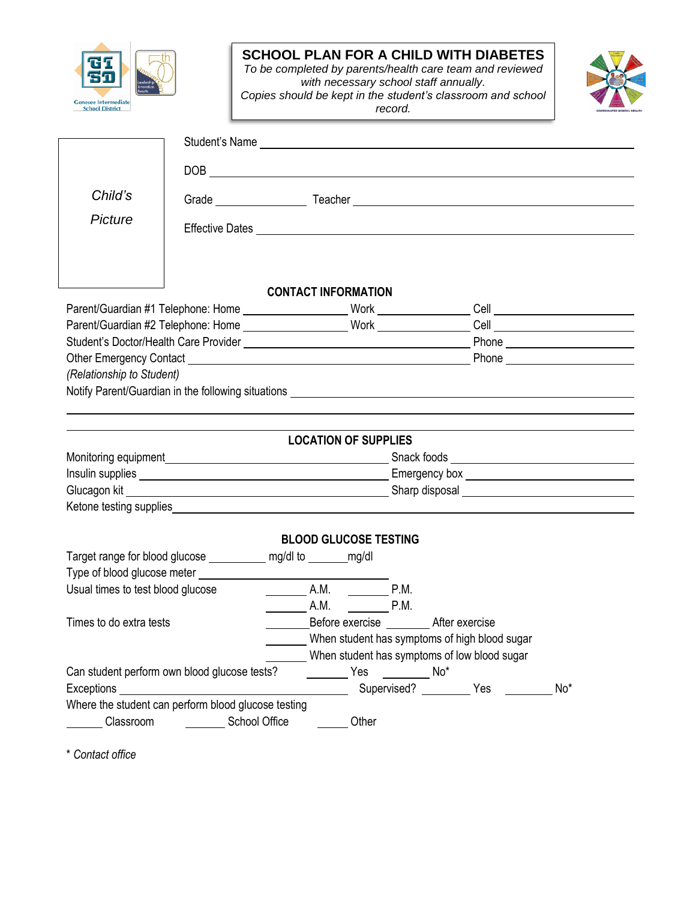

## **SCHOOL PLAN FOR A CHILD WITH DIABETES**

*To be completed by parents/health care team and reviewed with necessary school staff annually. Copies should be kept in the student's classroom and school record.*



| Child's                                      |                                                                      |                                                                                                 |                            |  |  |     |  |
|----------------------------------------------|----------------------------------------------------------------------|-------------------------------------------------------------------------------------------------|----------------------------|--|--|-----|--|
|                                              |                                                                      |                                                                                                 |                            |  |  |     |  |
| Picture                                      |                                                                      |                                                                                                 |                            |  |  |     |  |
|                                              |                                                                      |                                                                                                 |                            |  |  |     |  |
|                                              |                                                                      |                                                                                                 |                            |  |  |     |  |
|                                              |                                                                      | <b>CONTACT INFORMATION</b>                                                                      |                            |  |  |     |  |
|                                              |                                                                      |                                                                                                 |                            |  |  |     |  |
|                                              |                                                                      |                                                                                                 |                            |  |  |     |  |
|                                              |                                                                      |                                                                                                 |                            |  |  |     |  |
|                                              |                                                                      |                                                                                                 |                            |  |  |     |  |
| (Relationship to Student)                    |                                                                      |                                                                                                 |                            |  |  |     |  |
|                                              |                                                                      |                                                                                                 |                            |  |  |     |  |
|                                              |                                                                      |                                                                                                 |                            |  |  |     |  |
|                                              |                                                                      | <b>LOCATION OF SUPPLIES</b>                                                                     |                            |  |  |     |  |
|                                              |                                                                      |                                                                                                 |                            |  |  |     |  |
|                                              |                                                                      |                                                                                                 |                            |  |  |     |  |
|                                              |                                                                      |                                                                                                 |                            |  |  |     |  |
|                                              |                                                                      |                                                                                                 |                            |  |  |     |  |
|                                              |                                                                      |                                                                                                 |                            |  |  |     |  |
|                                              | Target range for blood glucose _____________ mg/dl to ________ mg/dl | <b>BLOOD GLUCOSE TESTING</b>                                                                    |                            |  |  |     |  |
|                                              |                                                                      |                                                                                                 |                            |  |  |     |  |
| Usual times to test blood glucose            |                                                                      | $\begin{array}{cccc}\n\hline\n\end{array}$ A.M. $\begin{array}{cccc}\n\hline\n\end{array}$ P.M. |                            |  |  |     |  |
|                                              |                                                                      | $\begin{array}{cccc}\n\mathsf{A.M.} \\ \hline\n\end{array}$ P.M.                                |                            |  |  |     |  |
| Times to do extra tests                      |                                                                      | Before exercise __________ After exercise                                                       |                            |  |  |     |  |
|                                              |                                                                      | When student has symptoms of high blood sugar                                                   |                            |  |  |     |  |
| When student has symptoms of low blood sugar |                                                                      |                                                                                                 |                            |  |  |     |  |
|                                              | Can student perform own blood glucose tests?                         | No <sup>*</sup>                                                                                 |                            |  |  |     |  |
|                                              |                                                                      |                                                                                                 | Supervised? __________ Yes |  |  | No* |  |
|                                              | Where the student can perform blood glucose testing                  |                                                                                                 |                            |  |  |     |  |
| Classroom                                    | <b>School Office</b>                                                 | Other                                                                                           |                            |  |  |     |  |

\* *Contact office*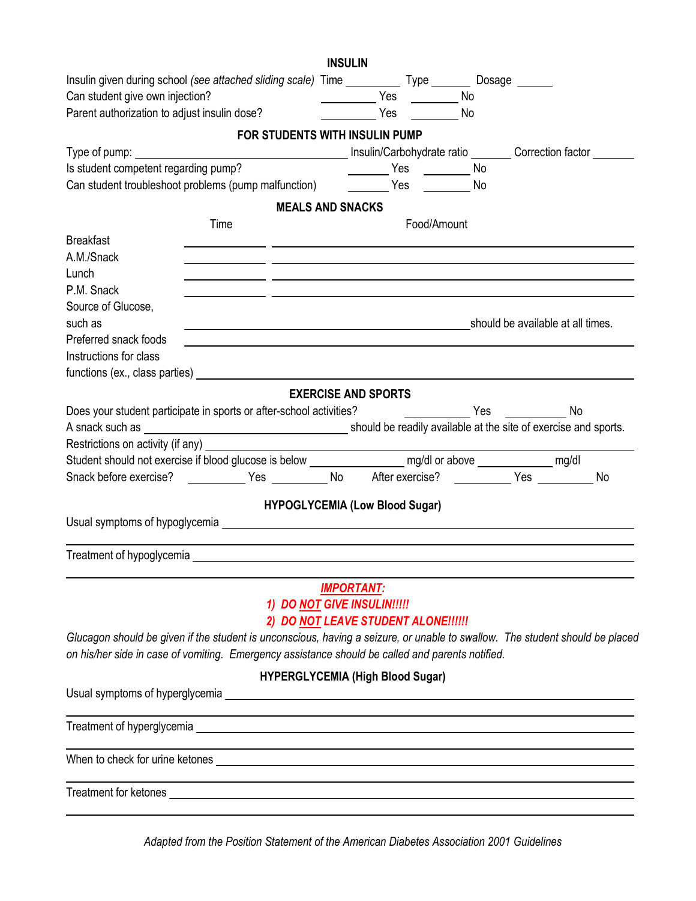|                                                                                                                                                                                                                                | <b>INSULIN</b>             |     |                             |  |  |  |
|--------------------------------------------------------------------------------------------------------------------------------------------------------------------------------------------------------------------------------|----------------------------|-----|-----------------------------|--|--|--|
| Insulin given during school (see attached sliding scale) Time _____________ Type ___________ Dosage _______                                                                                                                    |                            |     |                             |  |  |  |
| Can student give own injection?                                                                                                                                                                                                |                            |     | No.                         |  |  |  |
| Can student give own injection?<br>Parent authorization to adjust insulin dose?                                                                                                                                                |                            | Yes | No                          |  |  |  |
| FOR STUDENTS WITH INSULIN PUMP                                                                                                                                                                                                 |                            |     |                             |  |  |  |
|                                                                                                                                                                                                                                |                            |     |                             |  |  |  |
| Is student competent regarding pump?                                                                                                                                                                                           |                            |     | _________ Yes __________ No |  |  |  |
|                                                                                                                                                                                                                                |                            |     |                             |  |  |  |
|                                                                                                                                                                                                                                | <b>MEALS AND SNACKS</b>    |     |                             |  |  |  |
| Time                                                                                                                                                                                                                           |                            |     | Food/Amount                 |  |  |  |
| <b>Breakfast</b>                                                                                                                                                                                                               |                            |     |                             |  |  |  |
| A.M./Snack                                                                                                                                                                                                                     |                            |     |                             |  |  |  |
| Lunch                                                                                                                                                                                                                          |                            |     |                             |  |  |  |
| P.M. Snack                                                                                                                                                                                                                     |                            |     |                             |  |  |  |
| Source of Glucose,                                                                                                                                                                                                             |                            |     |                             |  |  |  |
| such as<br>should be available at all times.                                                                                                                                                                                   |                            |     |                             |  |  |  |
| Preferred snack foods                                                                                                                                                                                                          |                            |     |                             |  |  |  |
| Instructions for class                                                                                                                                                                                                         |                            |     |                             |  |  |  |
|                                                                                                                                                                                                                                |                            |     |                             |  |  |  |
|                                                                                                                                                                                                                                |                            |     |                             |  |  |  |
|                                                                                                                                                                                                                                | <b>EXERCISE AND SPORTS</b> |     |                             |  |  |  |
| Does your student participate in sports or after-school activities? [10] No [20] No [20] No [20] No                                                                                                                            |                            |     |                             |  |  |  |
|                                                                                                                                                                                                                                |                            |     |                             |  |  |  |
| Restrictions on activity (if any)                                                                                                                                                                                              |                            |     |                             |  |  |  |
| Student should not exercise if blood glucose is below _______________________ mg/dl or above _______________ mg/dl                                                                                                             |                            |     |                             |  |  |  |
| Snack before exercise? _____________Yes ___________No After exercise? __________Yes __________No                                                                                                                               |                            |     |                             |  |  |  |
| <b>HYPOGLYCEMIA (Low Blood Sugar)</b>                                                                                                                                                                                          |                            |     |                             |  |  |  |
| Usual symptoms of hypoglycemia example and the control of the control of the control of the control of the control of the control of the control of the control of the control of the control of the control of the control of |                            |     |                             |  |  |  |
|                                                                                                                                                                                                                                |                            |     |                             |  |  |  |
|                                                                                                                                                                                                                                |                            |     |                             |  |  |  |
|                                                                                                                                                                                                                                |                            |     |                             |  |  |  |
|                                                                                                                                                                                                                                | <b>IMPORTANT:</b>          |     |                             |  |  |  |
| 1) DO NOT GIVE INSULIN!!!!!                                                                                                                                                                                                    |                            |     |                             |  |  |  |
| 2) DO NOT LEAVE STUDENT ALONE !!!!!!                                                                                                                                                                                           |                            |     |                             |  |  |  |
| Glucagon should be given if the student is unconscious, having a seizure, or unable to swallow. The student should be placed                                                                                                   |                            |     |                             |  |  |  |
| on his/her side in case of vomiting. Emergency assistance should be called and parents notified.                                                                                                                               |                            |     |                             |  |  |  |
| <b>HYPERGLYCEMIA (High Blood Sugar)</b>                                                                                                                                                                                        |                            |     |                             |  |  |  |
|                                                                                                                                                                                                                                |                            |     |                             |  |  |  |
|                                                                                                                                                                                                                                |                            |     |                             |  |  |  |
|                                                                                                                                                                                                                                |                            |     |                             |  |  |  |
|                                                                                                                                                                                                                                |                            |     |                             |  |  |  |
|                                                                                                                                                                                                                                |                            |     |                             |  |  |  |
|                                                                                                                                                                                                                                |                            |     |                             |  |  |  |
|                                                                                                                                                                                                                                |                            |     |                             |  |  |  |
|                                                                                                                                                                                                                                |                            |     |                             |  |  |  |